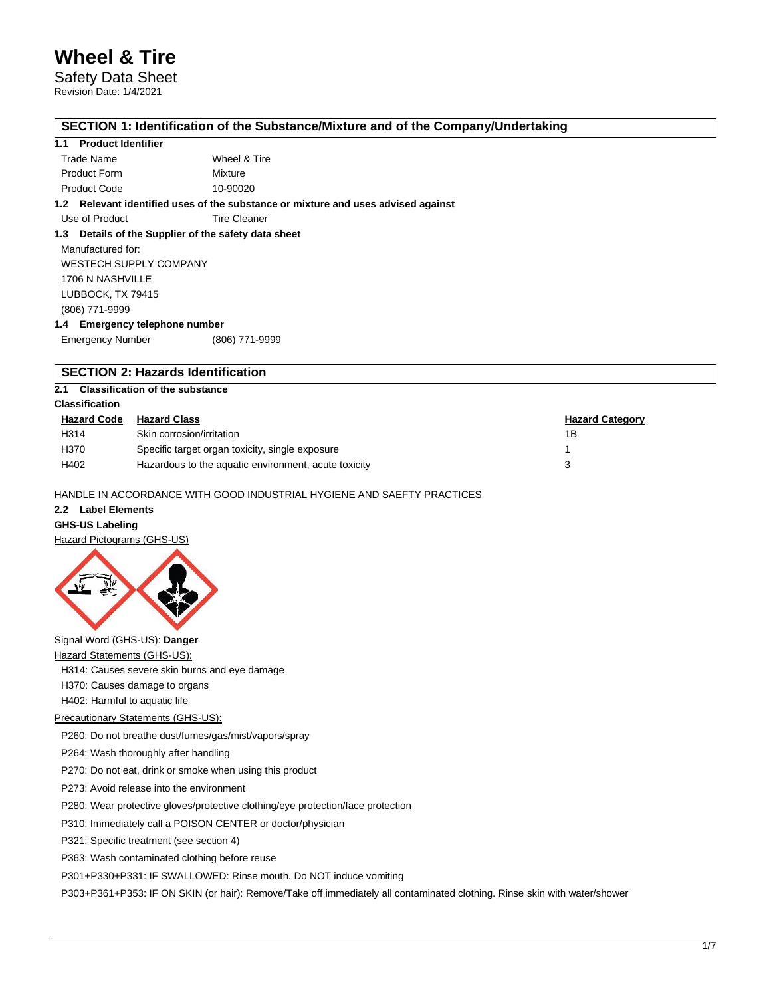# Safety Data Sheet

Revision Date: 1/4/2021

## **SECTION 1: Identification of the Substance/Mixture and of the Company/Undertaking**

### **1.1 Product Identifier**

| Trade Name          | Wheel & Tire |
|---------------------|--------------|
| <b>Product Form</b> | Mixture      |
| <b>Product Code</b> | 10-90020     |

**1.2 Relevant identified uses of the substance or mixture and uses advised against**

Use of Product Tire Cleaner

## **1.3 Details of the Supplier of the safety data sheet**

Manufactured for: WESTECH SUPPLY COMPANY 1706 N NASHVILLE LUBBOCK, TX 79415 (806) 771-9999

## **1.4 Emergency telephone number**

Emergency Number (806) 771-9999

## **SECTION 2: Hazards Identification**

## **2.1 Classification of the substance**

## **Classification**

| <b>Hazard Code</b> | <b>Hazard Class</b>                                  | <b>Hazard Category</b> |
|--------------------|------------------------------------------------------|------------------------|
| H314               | Skin corrosion/irritation                            | 1В                     |
| H370               | Specific target organ toxicity, single exposure      |                        |
| H402               | Hazardous to the aquatic environment, acute toxicity |                        |

### HANDLE IN ACCORDANCE WITH GOOD INDUSTRIAL HYGIENE AND SAEFTY PRACTICES

# **2.2 Label Elements**

**GHS-US Labeling**





# Signal Word (GHS-US): **Danger**

Hazard Statements (GHS-US):

H314: Causes severe skin burns and eye damage

H370: Causes damage to organs

H402: Harmful to aquatic life

#### Precautionary Statements (GHS-US):

P260: Do not breathe dust/fumes/gas/mist/vapors/spray

P264: Wash thoroughly after handling

P270: Do not eat, drink or smoke when using this product

P273: Avoid release into the environment

P280: Wear protective gloves/protective clothing/eye protection/face protection

P310: Immediately call a POISON CENTER or doctor/physician

P321: Specific treatment (see section 4)

P363: Wash contaminated clothing before reuse

P301+P330+P331: IF SWALLOWED: Rinse mouth. Do NOT induce vomiting

P303+P361+P353: IF ON SKIN (or hair): Remove/Take off immediately all contaminated clothing. Rinse skin with water/shower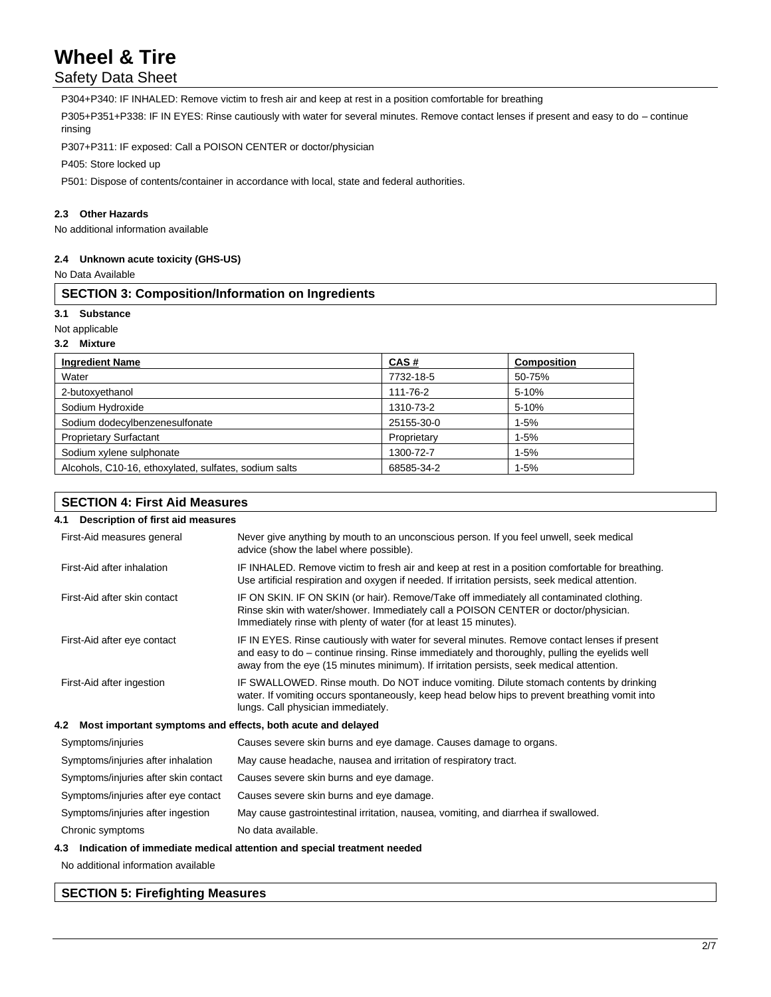# Safety Data Sheet

P304+P340: IF INHALED: Remove victim to fresh air and keep at rest in a position comfortable for breathing

P305+P351+P338: IF IN EYES: Rinse cautiously with water for several minutes. Remove contact lenses if present and easy to do – continue rinsing

P307+P311: IF exposed: Call a POISON CENTER or doctor/physician

P405: Store locked up

P501: Dispose of contents/container in accordance with local, state and federal authorities.

## **2.3 Other Hazards**

No additional information available

### **2.4 Unknown acute toxicity (GHS-US)**

No Data Available

## **SECTION 3: Composition/Information on Ingredients**

## **3.1 Substance**

### Not applicable

### **3.2 Mixture**

| <b>Ingredient Name</b>                                | CAS#        | <b>Composition</b> |
|-------------------------------------------------------|-------------|--------------------|
| Water                                                 | 7732-18-5   | 50-75%             |
| 2-butoxyethanol                                       | 111-76-2    | 5-10%              |
| Sodium Hydroxide                                      | 1310-73-2   | 5-10%              |
| Sodium dodecylbenzenesulfonate                        | 25155-30-0  | $1 - 5%$           |
| <b>Proprietary Surfactant</b>                         | Proprietary | $1 - 5%$           |
| Sodium xylene sulphonate                              | 1300-72-7   | $1 - 5%$           |
| Alcohols, C10-16, ethoxylated, sulfates, sodium salts | 68585-34-2  | $1 - 5%$           |

## **SECTION 4: First Aid Measures**

| Description of first aid measures<br>4.1                           |                                                                                                                                                                                                                                                                                           |
|--------------------------------------------------------------------|-------------------------------------------------------------------------------------------------------------------------------------------------------------------------------------------------------------------------------------------------------------------------------------------|
| First-Aid measures general                                         | Never give anything by mouth to an unconscious person. If you feel unwell, seek medical<br>advice (show the label where possible).                                                                                                                                                        |
| First-Aid after inhalation                                         | IF INHALED. Remove victim to fresh air and keep at rest in a position comfortable for breathing.<br>Use artificial respiration and oxygen if needed. If irritation persists, seek medical attention.                                                                                      |
| First-Aid after skin contact                                       | IF ON SKIN. IF ON SKIN (or hair). Remove/Take off immediately all contaminated clothing.<br>Rinse skin with water/shower. Immediately call a POISON CENTER or doctor/physician.<br>Immediately rinse with plenty of water (for at least 15 minutes).                                      |
| First-Aid after eye contact                                        | IF IN EYES. Rinse cautiously with water for several minutes. Remove contact lenses if present<br>and easy to do – continue rinsing. Rinse immediately and thoroughly, pulling the eyelids well<br>away from the eye (15 minutes minimum). If irritation persists, seek medical attention. |
| First-Aid after ingestion                                          | IF SWALLOWED. Rinse mouth. Do NOT induce vomiting. Dilute stomach contents by drinking<br>water. If vomiting occurs spontaneously, keep head below hips to prevent breathing vomit into<br>lungs. Call physician immediately.                                                             |
| Most important symptoms and effects, both acute and delayed<br>4.2 |                                                                                                                                                                                                                                                                                           |
| Symptoms/injuries                                                  | Causes severe skin burns and eye damage. Causes damage to organs.                                                                                                                                                                                                                         |
| Symptoms/injuries after inhalation                                 | May cause headache, nausea and irritation of respiratory tract.                                                                                                                                                                                                                           |
| Symptoms/injuries after skin contact                               | Causes severe skin burns and eye damage.                                                                                                                                                                                                                                                  |
| Symptoms/injuries after eye contact                                | Causes severe skin burns and eye damage.                                                                                                                                                                                                                                                  |
| Symptoms/injuries after ingestion                                  | May cause gastrointestinal irritation, nausea, vomiting, and diarrhea if swallowed.                                                                                                                                                                                                       |
| Chronic symptoms                                                   | No data available.                                                                                                                                                                                                                                                                        |
|                                                                    |                                                                                                                                                                                                                                                                                           |

## **4.3 Indication of immediate medical attention and special treatment needed**

No additional information available

## **SECTION 5: Firefighting Measures**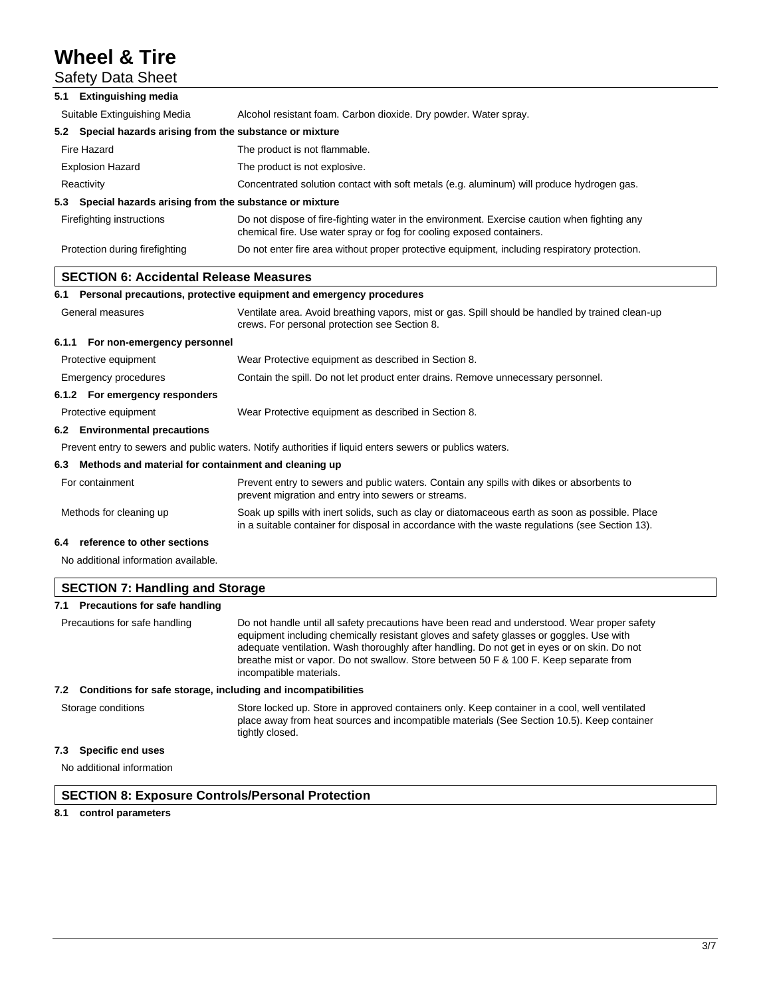|     | <b>Safety Data Sheet</b>                                  |                                                                                                                                                                                                    |
|-----|-----------------------------------------------------------|----------------------------------------------------------------------------------------------------------------------------------------------------------------------------------------------------|
| 5.1 | <b>Extinguishing media</b>                                |                                                                                                                                                                                                    |
|     | Suitable Extinguishing Media                              | Alcohol resistant foam. Carbon dioxide. Dry powder. Water spray.                                                                                                                                   |
|     | 5.2 Special hazards arising from the substance or mixture |                                                                                                                                                                                                    |
|     | Fire Hazard                                               | The product is not flammable.                                                                                                                                                                      |
|     | <b>Explosion Hazard</b>                                   | The product is not explosive.                                                                                                                                                                      |
|     | Reactivity                                                | Concentrated solution contact with soft metals (e.g. aluminum) will produce hydrogen gas.                                                                                                          |
|     | 5.3 Special hazards arising from the substance or mixture |                                                                                                                                                                                                    |
|     | Firefighting instructions                                 | Do not dispose of fire-fighting water in the environment. Exercise caution when fighting any<br>chemical fire. Use water spray or fog for cooling exposed containers.                              |
|     | Protection during firefighting                            | Do not enter fire area without proper protective equipment, including respiratory protection.                                                                                                      |
|     | <b>SECTION 6: Accidental Release Measures</b>             |                                                                                                                                                                                                    |
|     |                                                           | 6.1 Personal precautions, protective equipment and emergency procedures                                                                                                                            |
|     | General measures                                          | Ventilate area. Avoid breathing vapors, mist or gas. Spill should be handled by trained clean-up<br>crews. For personal protection see Section 8.                                                  |
|     | 6.1.1 For non-emergency personnel                         |                                                                                                                                                                                                    |
|     | Protective equipment                                      | Wear Protective equipment as described in Section 8.                                                                                                                                               |
|     | Emergency procedures                                      | Contain the spill. Do not let product enter drains. Remove unnecessary personnel.                                                                                                                  |
|     | 6.1.2 For emergency responders                            |                                                                                                                                                                                                    |
|     | Protective equipment                                      | Wear Protective equipment as described in Section 8.                                                                                                                                               |
|     | 6.2 Environmental precautions                             |                                                                                                                                                                                                    |
|     |                                                           | Prevent entry to sewers and public waters. Notify authorities if liquid enters sewers or publics waters.                                                                                           |
| 6.3 | Methods and material for containment and cleaning up      |                                                                                                                                                                                                    |
|     | For containment                                           | Prevent entry to sewers and public waters. Contain any spills with dikes or absorbents to<br>prevent migration and entry into sewers or streams.                                                   |
|     | Methods for cleaning up                                   | Soak up spills with inert solids, such as clay or diatomaceous earth as soon as possible. Place<br>in a suitable container for disposal in accordance with the waste regulations (see Section 13). |
| 6.4 | reference to other sections                               |                                                                                                                                                                                                    |
|     | No additional information available.                      |                                                                                                                                                                                                    |

| <b>SECTION 7: Handling and Storage</b>                              |                                                                                                                                                                                                                                                                                                                                                                                                            |  |
|---------------------------------------------------------------------|------------------------------------------------------------------------------------------------------------------------------------------------------------------------------------------------------------------------------------------------------------------------------------------------------------------------------------------------------------------------------------------------------------|--|
| Precautions for safe handling<br>7.1                                |                                                                                                                                                                                                                                                                                                                                                                                                            |  |
| Precautions for safe handling                                       | Do not handle until all safety precautions have been read and understood. Wear proper safety<br>equipment including chemically resistant gloves and safety glasses or goggles. Use with<br>adequate ventilation. Wash thoroughly after handling. Do not get in eyes or on skin. Do not<br>breathe mist or vapor. Do not swallow. Store between 50 F & 100 F. Keep separate from<br>incompatible materials. |  |
| Conditions for safe storage, including and incompatibilities<br>7.2 |                                                                                                                                                                                                                                                                                                                                                                                                            |  |
| Storage conditions                                                  | Store locked up. Store in approved containers only. Keep container in a cool, well ventilated<br>place away from heat sources and incompatible materials (See Section 10.5). Keep container<br>tightly closed.                                                                                                                                                                                             |  |
| Specific end uses<br>7.3                                            |                                                                                                                                                                                                                                                                                                                                                                                                            |  |
| No additional information                                           |                                                                                                                                                                                                                                                                                                                                                                                                            |  |

# **SECTION 8: Exposure Controls/Personal Protection**

## **8.1 control parameters**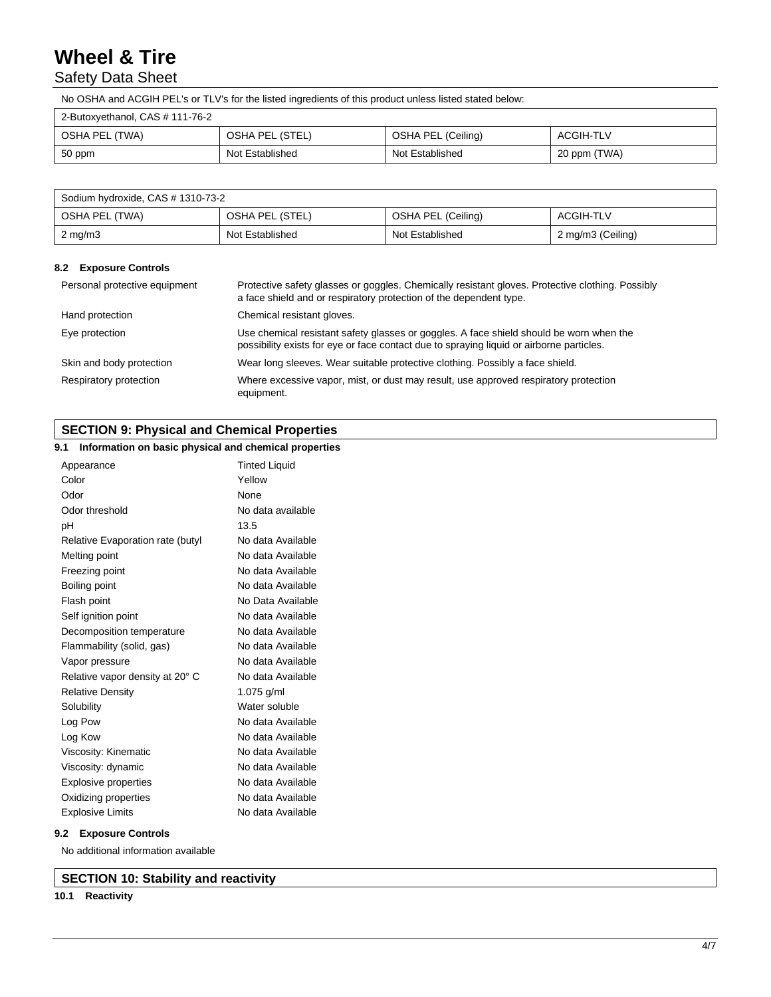# Safety Data Sheet

No OSHA and ACGIH PEL's or TLV's for the listed ingredients of this product unless listed stated below:

| 2-Butoxyethanol, CAS # 111-76-2 |                 |                    |              |
|---------------------------------|-----------------|--------------------|--------------|
| OSHA PEL (TWA)                  | OSHA PEL (STEL) | OSHA PEL (Ceiling) | ACGIH-TLV    |
| 50 ppm                          | Not Established | Not Established    | 20 ppm (TWA) |

| Sodium hydroxide, CAS # 1310-73-2 |                 |                    |                   |
|-----------------------------------|-----------------|--------------------|-------------------|
| OSHA PEL (TWA)                    | OSHA PEL (STEL) | OSHA PEL (Ceiling) | ACGIH-TLV         |
| $2 \text{ mg/m}$                  | Not Established | Not Established    | 2 mg/m3 (Ceiling) |

### **8.2 Exposure Controls**

| Personal protective equipment | Protective safety glasses or goggles. Chemically resistant gloves. Protective clothing. Possibly<br>a face shield and or respiratory protection of the dependent type.              |
|-------------------------------|-------------------------------------------------------------------------------------------------------------------------------------------------------------------------------------|
| Hand protection               | Chemical resistant gloves.                                                                                                                                                          |
| Eye protection                | Use chemical resistant safety glasses or goggles. A face shield should be worn when the<br>possibility exists for eye or face contact due to spraying liquid or airborne particles. |
| Skin and body protection      | Wear long sleeves. Wear suitable protective clothing. Possibly a face shield.                                                                                                       |
| Respiratory protection        | Where excessive vapor, mist, or dust may result, use approved respiratory protection<br>equipment.                                                                                  |

## **SECTION 9: Physical and Chemical Properties**

## **9.1 Information on basic physical and chemical properties**

| Appearance                       | <b>Tinted Liquid</b> |
|----------------------------------|----------------------|
| Color                            | Yellow               |
| Odor                             | None                 |
| Odor threshold                   | No data available    |
| pН                               | 13.5                 |
| Relative Evaporation rate (butyl | No data Available    |
| Melting point                    | No data Available    |
| Freezing point                   | No data Available    |
| Boiling point                    | No data Available    |
| Flash point                      | No Data Available    |
| Self ignition point              | No data Available    |
| Decomposition temperature        | No data Available    |
| Flammability (solid, gas)        | No data Available    |
| Vapor pressure                   | No data Available    |
| Relative vapor density at 20° C  | No data Available    |
| <b>Relative Density</b>          | 1.075 g/ml           |
| Solubility                       | Water soluble        |
| Log Pow                          | No data Available    |
| Log Kow                          | No data Available    |
| Viscosity: Kinematic             | No data Available    |
| Viscosity: dynamic               | No data Available    |
| <b>Explosive properties</b>      | No data Available    |
| Oxidizing properties             | No data Available    |
| <b>Explosive Limits</b>          | No data Available    |

## **9.2 Exposure Controls**

No additional information available

**SECTION 10: Stability and reactivity**

## **10.1 Reactivity**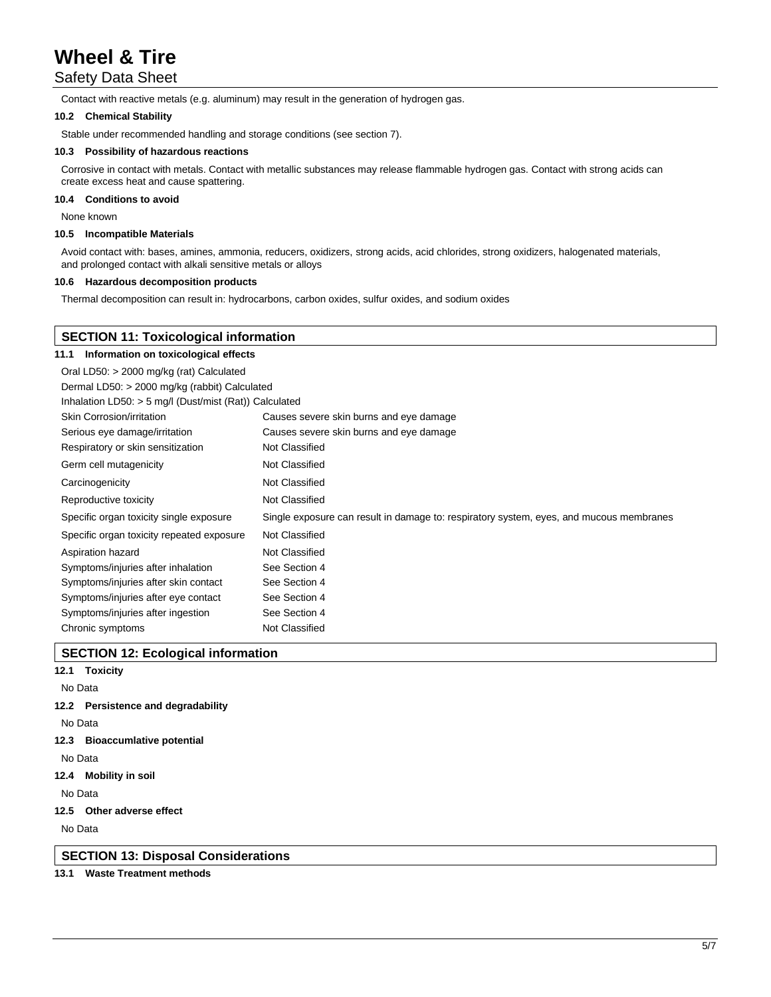# Safety Data Sheet

Contact with reactive metals (e.g. aluminum) may result in the generation of hydrogen gas.

#### **10.2 Chemical Stability**

Stable under recommended handling and storage conditions (see section 7).

### **10.3 Possibility of hazardous reactions**

Corrosive in contact with metals. Contact with metallic substances may release flammable hydrogen gas. Contact with strong acids can create excess heat and cause spattering.

#### **10.4 Conditions to avoid**

None known

#### **10.5 Incompatible Materials**

Avoid contact with: bases, amines, ammonia, reducers, oxidizers, strong acids, acid chlorides, strong oxidizers, halogenated materials, and prolonged contact with alkali sensitive metals or alloys

#### **10.6 Hazardous decomposition products**

Thermal decomposition can result in: hydrocarbons, carbon oxides, sulfur oxides, and sodium oxides

| <b>SECTION 11: Toxicological information</b>           |                                                                                         |  |  |
|--------------------------------------------------------|-----------------------------------------------------------------------------------------|--|--|
| Information on toxicological effects<br>11.1           |                                                                                         |  |  |
| Oral LD50: > 2000 mg/kg (rat) Calculated               |                                                                                         |  |  |
| Dermal LD50: > 2000 mg/kg (rabbit) Calculated          |                                                                                         |  |  |
| Inhalation LD50: > 5 mg/l (Dust/mist (Rat)) Calculated |                                                                                         |  |  |
| Skin Corrosion/irritation                              | Causes severe skin burns and eye damage                                                 |  |  |
| Serious eye damage/irritation                          | Causes severe skin burns and eye damage                                                 |  |  |
| Respiratory or skin sensitization                      | Not Classified                                                                          |  |  |
| Germ cell mutagenicity                                 | Not Classified                                                                          |  |  |
| Carcinogenicity                                        | Not Classified                                                                          |  |  |
| Reproductive toxicity                                  | Not Classified                                                                          |  |  |
| Specific organ toxicity single exposure                | Single exposure can result in damage to: respiratory system, eyes, and mucous membranes |  |  |
| Specific organ toxicity repeated exposure              | Not Classified                                                                          |  |  |
| Aspiration hazard                                      | Not Classified                                                                          |  |  |
| Symptoms/injuries after inhalation                     | See Section 4                                                                           |  |  |
| Symptoms/injuries after skin contact                   | See Section 4                                                                           |  |  |
| Symptoms/injuries after eye contact                    | See Section 4                                                                           |  |  |
| Symptoms/injuries after ingestion                      | See Section 4                                                                           |  |  |
| Chronic symptoms                                       | Not Classified                                                                          |  |  |

## **SECTION 12: Ecological information**

- **12.1 Toxicity**
- No Data
- **12.2 Persistence and degradability**
- No Data
- **12.3 Bioaccumlative potential**

No Data

**12.4 Mobility in soil**

No Data

**12.5 Other adverse effect**

No Data

**SECTION 13: Disposal Considerations**

## **13.1 Waste Treatment methods**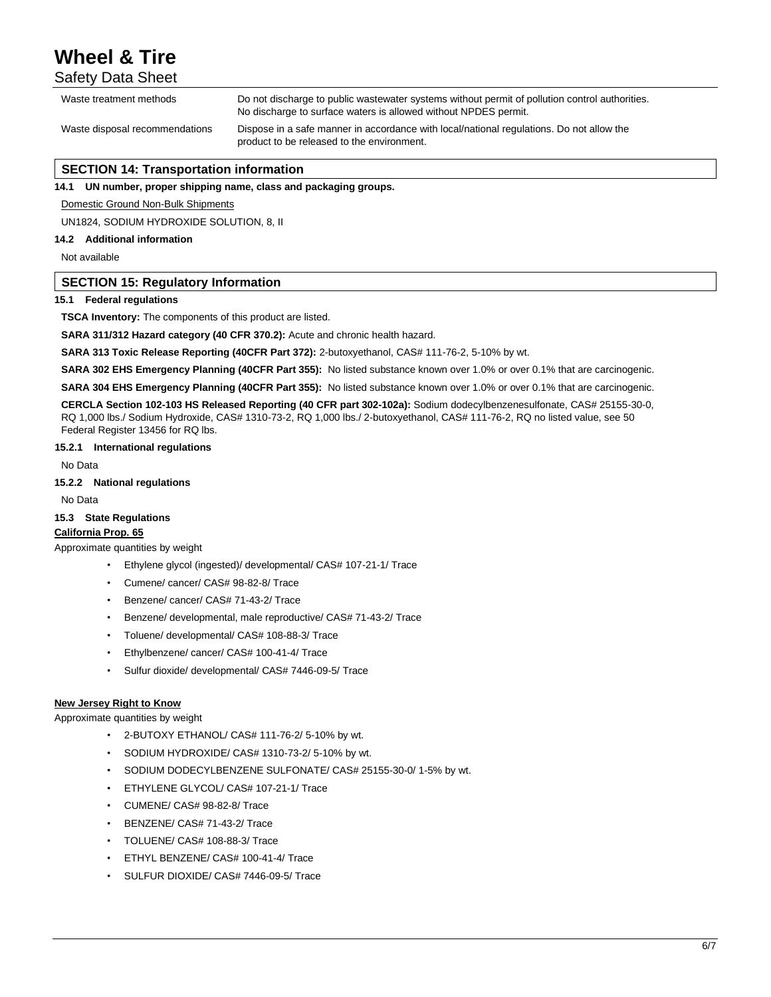Safety Data Sheet

| Waste treatment methods        | Do not discharge to public wastewater systems without permit of pollution control authorities.<br>No discharge to surface waters is allowed without NPDES permit. |
|--------------------------------|-------------------------------------------------------------------------------------------------------------------------------------------------------------------|
| Waste disposal recommendations | Dispose in a safe manner in accordance with local/national regulations. Do not allow the<br>product to be released to the environment.                            |

## **SECTION 14: Transportation information**

**14.1 UN number, proper shipping name, class and packaging groups.**

Domestic Ground Non-Bulk Shipments

UN1824, SODIUM HYDROXIDE SOLUTION, 8, II

## **14.2 Additional information**

Not available

## **SECTION 15: Regulatory Information**

### **15.1 Federal regulations**

**TSCA Inventory:** The components of this product are listed.

**SARA 311/312 Hazard category (40 CFR 370.2):** Acute and chronic health hazard.

**SARA 313 Toxic Release Reporting (40CFR Part 372):** 2-butoxyethanol, CAS# 111-76-2, 5-10% by wt.

**SARA 302 EHS Emergency Planning (40CFR Part 355):** No listed substance known over 1.0% or over 0.1% that are carcinogenic.

**SARA 304 EHS Emergency Planning (40CFR Part 355):** No listed substance known over 1.0% or over 0.1% that are carcinogenic.

**CERCLA Section 102-103 HS Released Reporting (40 CFR part 302-102a):** Sodium dodecylbenzenesulfonate, CAS# 25155-30-0, RQ 1,000 lbs./ Sodium Hydroxide, CAS# 1310-73-2, RQ 1,000 lbs./ 2-butoxyethanol, CAS# 111-76-2, RQ no listed value, see 50 Federal Register 13456 for RQ lbs.

#### **15.2.1 International regulations**

No Data

## **15.2.2 National regulations**

No Data

## **15.3 State Regulations**

# **California Prop. 65**

Approximate quantities by weight

- Ethylene glycol (ingested)/ developmental/ CAS# 107-21-1/ Trace
- Cumene/ cancer/ CAS# 98-82-8/ Trace
- Benzene/ cancer/ CAS# 71-43-2/ Trace
- Benzene/ developmental, male reproductive/ CAS# 71-43-2/ Trace
- Toluene/ developmental/ CAS# 108-88-3/ Trace
- Ethylbenzene/ cancer/ CAS# 100-41-4/ Trace
- Sulfur dioxide/ developmental/ CAS# 7446-09-5/ Trace

## **New Jersey Right to Know**

Approximate quantities by weight

- 2-BUTOXY ETHANOL/ CAS# 111-76-2/ 5-10% by wt.
- SODIUM HYDROXIDE/ CAS# 1310-73-2/ 5-10% by wt.
- SODIUM DODECYLBENZENE SULFONATE/ CAS# 25155-30-0/ 1-5% by wt.
- ETHYLENE GLYCOL/ CAS# 107-21-1/ Trace
- CUMENE/ CAS# 98-82-8/ Trace
- BENZENE/ CAS# 71-43-2/ Trace
- TOLUENE/ CAS# 108-88-3/ Trace
- ETHYL BENZENE/ CAS# 100-41-4/ Trace
- SULFUR DIOXIDE/ CAS# 7446-09-5/ Trace